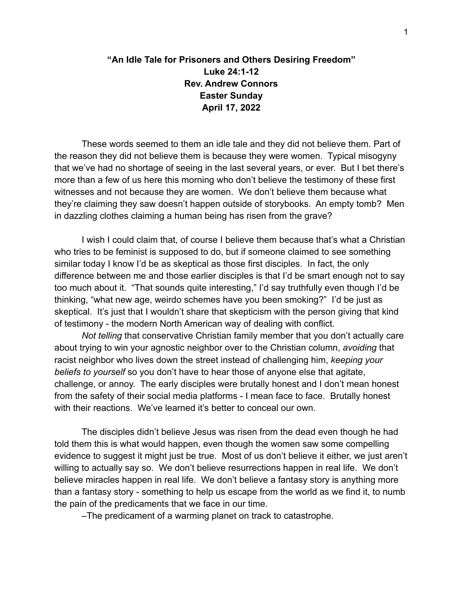## **"An Idle Tale for Prisoners and Others Desiring Freedom" Luke 24:1-12 Rev. Andrew Connors Easter Sunday April 17, 2022**

These words seemed to them an idle tale and they did not believe them. Part of the reason they did not believe them is because they were women. Typical misogyny that we've had no shortage of seeing in the last several years, or ever. But I bet there's more than a few of us here this morning who don't believe the testimony of these first witnesses and not because they are women. We don't believe them because what they're claiming they saw doesn't happen outside of storybooks. An empty tomb? Men in dazzling clothes claiming a human being has risen from the grave?

I wish I could claim that, of course I believe them because that's what a Christian who tries to be feminist is supposed to do, but if someone claimed to see something similar today I know I'd be as skeptical as those first disciples. In fact, the only difference between me and those earlier disciples is that I'd be smart enough not to say too much about it. "That sounds quite interesting," I'd say truthfully even though I'd be thinking, "what new age, weirdo schemes have you been smoking?" I'd be just as skeptical. It's just that I wouldn't share that skepticism with the person giving that kind of testimony - the modern North American way of dealing with conflict.

*Not telling* that conservative Christian family member that you don't actually care about trying to win your agnostic neighbor over to the Christian column, *avoiding* that racist neighbor who lives down the street instead of challenging him, *keeping your beliefs to yourself* so you don't have to hear those of anyone else that agitate, challenge, or annoy. The early disciples were brutally honest and I don't mean honest from the safety of their social media platforms - I mean face to face. Brutally honest with their reactions. We've learned it's better to conceal our own.

The disciples didn't believe Jesus was risen from the dead even though he had told them this is what would happen, even though the women saw some compelling evidence to suggest it might just be true. Most of us don't believe it either, we just aren't willing to actually say so. We don't believe resurrections happen in real life. We don't believe miracles happen in real life. We don't believe a fantasy story is anything more than a fantasy story - something to help us escape from the world as we find it, to numb the pain of the predicaments that we face in our time.

–The predicament of a warming planet on track to catastrophe.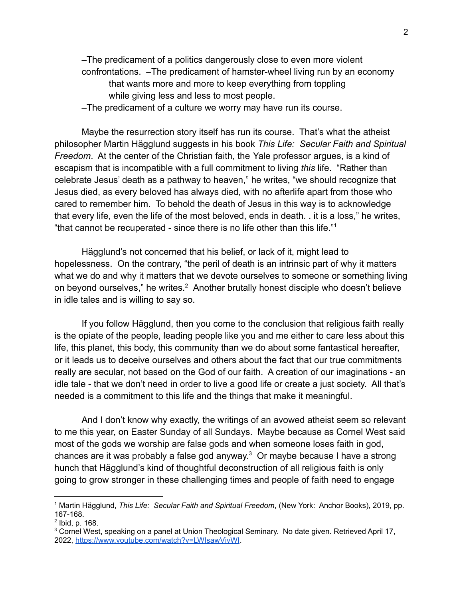–The predicament of a politics dangerously close to even more violent confrontations. –The predicament of hamster-wheel living run by an economy that wants more and more to keep everything from toppling while giving less and less to most people.

–The predicament of a culture we worry may have run its course.

Maybe the resurrection story itself has run its course. That's what the atheist philosopher Martin Hägglund suggests in his book *This Life: Secular Faith and Spiritual Freedom*. At the center of the Christian faith, the Yale professor argues, is a kind of escapism that is incompatible with a full commitment to living *this* life. "Rather than celebrate Jesus' death as a pathway to heaven," he writes, "we should recognize that Jesus died, as every beloved has always died, with no afterlife apart from those who cared to remember him. To behold the death of Jesus in this way is to acknowledge that every life, even the life of the most beloved, ends in death. . it is a loss," he writes, "that cannot be recuperated - since there is no life other than this life."<sup>1</sup>

Hägglund's not concerned that his belief, or lack of it, might lead to hopelessness. On the contrary, "the peril of death is an intrinsic part of why it matters what we do and why it matters that we devote ourselves to someone or something living on beyond ourselves," he writes.<sup>2</sup> Another brutally honest disciple who doesn't believe in idle tales and is willing to say so.

If you follow Hägglund, then you come to the conclusion that religious faith really is the opiate of the people, leading people like you and me either to care less about this life, this planet, this body, this community than we do about some fantastical hereafter, or it leads us to deceive ourselves and others about the fact that our true commitments really are secular, not based on the God of our faith. A creation of our imaginations - an idle tale - that we don't need in order to live a good life or create a just society. All that's needed is a commitment to this life and the things that make it meaningful.

And I don't know why exactly, the writings of an avowed atheist seem so relevant to me this year, on Easter Sunday of all Sundays. Maybe because as Cornel West said most of the gods we worship are false gods and when someone loses faith in god, chances are it was probably a false god anyway. $3$  Or maybe because I have a strong hunch that Hägglund's kind of thoughtful deconstruction of all religious faith is only going to grow stronger in these challenging times and people of faith need to engage

<sup>1</sup> Martin Hägglund, *This Life: Secular Faith and Spiritual Freedom*, (New York: Anchor Books), 2019, pp. 167-168.

<sup>&</sup>lt;sup>2</sup> Ibid, p. 168.

<sup>&</sup>lt;sup>3</sup> Cornel West, speaking on a panel at Union Theological Seminary. No date given. Retrieved April 17, 2022, <https://www.youtube.com/watch?v=LWIsawVjvWI>.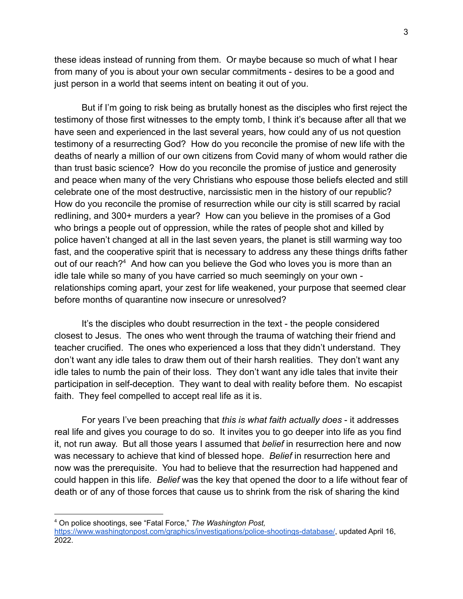these ideas instead of running from them. Or maybe because so much of what I hear from many of you is about your own secular commitments - desires to be a good and just person in a world that seems intent on beating it out of you.

But if I'm going to risk being as brutally honest as the disciples who first reject the testimony of those first witnesses to the empty tomb, I think it's because after all that we have seen and experienced in the last several years, how could any of us not question testimony of a resurrecting God? How do you reconcile the promise of new life with the deaths of nearly a million of our own citizens from Covid many of whom would rather die than trust basic science? How do you reconcile the promise of justice and generosity and peace when many of the very Christians who espouse those beliefs elected and still celebrate one of the most destructive, narcissistic men in the history of our republic? How do you reconcile the promise of resurrection while our city is still scarred by racial redlining, and 300+ murders a year? How can you believe in the promises of a God who brings a people out of oppression, while the rates of people shot and killed by police haven't changed at all in the last seven years, the planet is still warming way too fast, and the cooperative spirit that is necessary to address any these things drifts father out of our reach?<sup>4</sup> And how can you believe the God who loves you is more than an idle tale while so many of you have carried so much seemingly on your own relationships coming apart, your zest for life weakened, your purpose that seemed clear before months of quarantine now insecure or unresolved?

It's the disciples who doubt resurrection in the text - the people considered closest to Jesus. The ones who went through the trauma of watching their friend and teacher crucified. The ones who experienced a loss that they didn't understand. They don't want any idle tales to draw them out of their harsh realities. They don't want any idle tales to numb the pain of their loss. They don't want any idle tales that invite their participation in self-deception. They want to deal with reality before them. No escapist faith. They feel compelled to accept real life as it is.

For years I've been preaching that *this is what faith actually does* - it addresses real life and gives you courage to do so. It invites you to go deeper into life as you find it, not run away. But all those years I assumed that *belief* in resurrection here and now was necessary to achieve that kind of blessed hope. *Belief* in resurrection here and now was the prerequisite. You had to believe that the resurrection had happened and could happen in this life. *Belief* was the key that opened the door to a life without fear of death or of any of those forces that cause us to shrink from the risk of sharing the kind

<sup>4</sup> On police shootings, see "Fatal Force," *The Washington Post,*

<https://www.washingtonpost.com/graphics/investigations/police-shootings-database/>, updated April 16, 2022.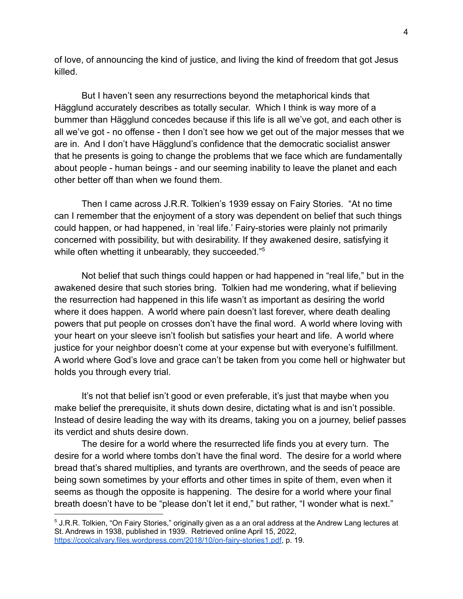of love, of announcing the kind of justice, and living the kind of freedom that got Jesus killed.

But I haven't seen any resurrections beyond the metaphorical kinds that Hägglund accurately describes as totally secular. Which I think is way more of a bummer than Hägglund concedes because if this life is all we've got, and each other is all we've got - no offense - then I don't see how we get out of the major messes that we are in. And I don't have Hägglund's confidence that the democratic socialist answer that he presents is going to change the problems that we face which are fundamentally about people - human beings - and our seeming inability to leave the planet and each other better off than when we found them.

Then I came across J.R.R. Tolkien's 1939 essay on Fairy Stories. "At no time can I remember that the enjoyment of a story was dependent on belief that such things could happen, or had happened, in 'real life.' Fairy-stories were plainly not primarily concerned with possibility, but with desirability. If they awakened desire, satisfying it while often whetting it unbearably, they succeeded."<sup>5</sup>

Not belief that such things could happen or had happened in "real life," but in the awakened desire that such stories bring. Tolkien had me wondering, what if believing the resurrection had happened in this life wasn't as important as desiring the world where it does happen. A world where pain doesn't last forever, where death dealing powers that put people on crosses don't have the final word. A world where loving with your heart on your sleeve isn't foolish but satisfies your heart and life. A world where justice for your neighbor doesn't come at your expense but with everyone's fulfillment. A world where God's love and grace can't be taken from you come hell or highwater but holds you through every trial.

It's not that belief isn't good or even preferable, it's just that maybe when you make belief the prerequisite, it shuts down desire, dictating what is and isn't possible. Instead of desire leading the way with its dreams, taking you on a journey, belief passes its verdict and shuts desire down.

The desire for a world where the resurrected life finds you at every turn. The desire for a world where tombs don't have the final word. The desire for a world where bread that's shared multiplies, and tyrants are overthrown, and the seeds of peace are being sown sometimes by your efforts and other times in spite of them, even when it seems as though the opposite is happening. The desire for a world where your final breath doesn't have to be "please don't let it end," but rather, "I wonder what is next."

<sup>5</sup> J.R.R. Tolkien, "On Fairy Stories," originally given as a an oral address at the Andrew Lang lectures at St. Andrews in 1938, published in 1939. Retrieved online April 15, 2022, <https://coolcalvary.files.wordpress.com/2018/10/on-fairy-stories1.pdf>, p. 19.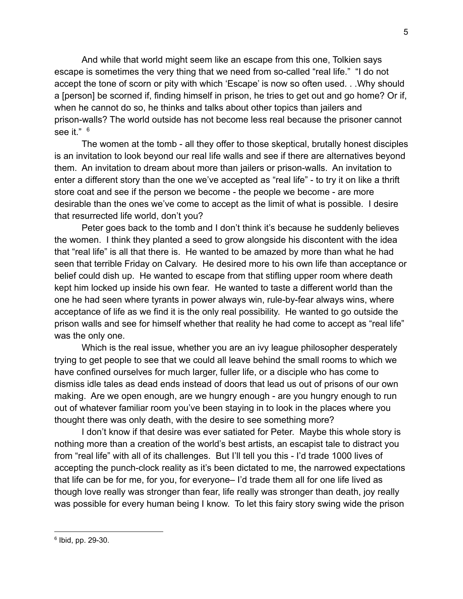And while that world might seem like an escape from this one, Tolkien says escape is sometimes the very thing that we need from so-called "real life." "I do not accept the tone of scorn or pity with which 'Escape' is now so often used. . .Why should a [person] be scorned if, finding himself in prison, he tries to get out and go home? Or if, when he cannot do so, he thinks and talks about other topics than jailers and prison-walls? The world outside has not become less real because the prisoner cannot see it."  $6$ 

The women at the tomb - all they offer to those skeptical, brutally honest disciples is an invitation to look beyond our real life walls and see if there are alternatives beyond them. An invitation to dream about more than jailers or prison-walls. An invitation to enter a different story than the one we've accepted as "real life" - to try it on like a thrift store coat and see if the person we become - the people we become - are more desirable than the ones we've come to accept as the limit of what is possible. I desire that resurrected life world, don't you?

Peter goes back to the tomb and I don't think it's because he suddenly believes the women. I think they planted a seed to grow alongside his discontent with the idea that "real life" is all that there is. He wanted to be amazed by more than what he had seen that terrible Friday on Calvary. He desired more to his own life than acceptance or belief could dish up. He wanted to escape from that stifling upper room where death kept him locked up inside his own fear. He wanted to taste a different world than the one he had seen where tyrants in power always win, rule-by-fear always wins, where acceptance of life as we find it is the only real possibility. He wanted to go outside the prison walls and see for himself whether that reality he had come to accept as "real life" was the only one.

Which is the real issue, whether you are an ivy league philosopher desperately trying to get people to see that we could all leave behind the small rooms to which we have confined ourselves for much larger, fuller life, or a disciple who has come to dismiss idle tales as dead ends instead of doors that lead us out of prisons of our own making. Are we open enough, are we hungry enough - are you hungry enough to run out of whatever familiar room you've been staying in to look in the places where you thought there was only death, with the desire to see something more?

I don't know if that desire was ever satiated for Peter. Maybe this whole story is nothing more than a creation of the world's best artists, an escapist tale to distract you from "real life" with all of its challenges. But I'll tell you this - I'd trade 1000 lives of accepting the punch-clock reality as it's been dictated to me, the narrowed expectations that life can be for me, for you, for everyone– I'd trade them all for one life lived as though love really was stronger than fear, life really was stronger than death, joy really was possible for every human being I know. To let this fairy story swing wide the prison

<sup>6</sup> Ibid, pp. 29-30.